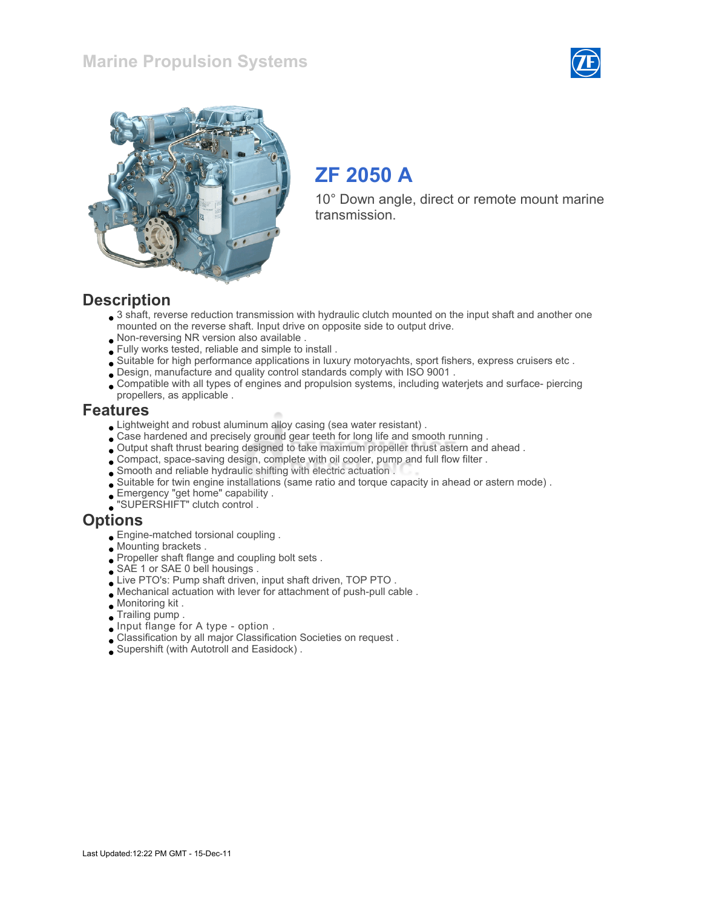



# ZF 2050 A

10° Down angle, direct or remote mount marine transmission.

#### **Description**

- $\bullet$  3 shaft, reverse reduction transmission with hydraulic clutch mounted on the input shaft and another one mounted on the reverse shaft. Input drive on opposite side to output drive.
- Non-reversing NR version also available .
- Fully works tested, reliable and simple to install .
- Suitable for high performance applications in luxury motoryachts, sport fishers, express cruisers etc .
- Design, manufacture and quality control standards comply with ISO 9001 .
- Compatible with all types of engines and propulsion systems, including waterjets and surface- piercing propellers, as applicable .

#### Features

- Lightweight and robust aluminum alloy casing (sea water resistant) .
- Case hardened and precisely ground gear teeth for long life and smooth running .
- Output shaft thrust bearing designed to take maximum propeller thrust astern and ahead .
- Compact, space-saving design, complete with oil cooler, pump and full flow filter .
- Smooth and reliable hydraulic shifting with electric actuation .
- Suitable for twin engine installations (same ratio and torque capacity in ahead or astern mode) .
- Emergency "get home" capability .
- "SUPERSHIFT" clutch control .

#### **Options**

- Engine-matched torsional coupling .
- Mounting brackets .
- Propeller shaft flange and coupling bolt sets.
- SAE 1 or SAE 0 bell housings .
- Live PTO's: Pump shaft driven, input shaft driven, TOP PTO.
- Mechanical actuation with lever for attachment of push-pull cable .
- Monitoring kit .
- Trailing pump .
- Input flange for A type option .
- Classification by all major Classification Societies on request .
- Supershift (with Autotroll and Easidock) .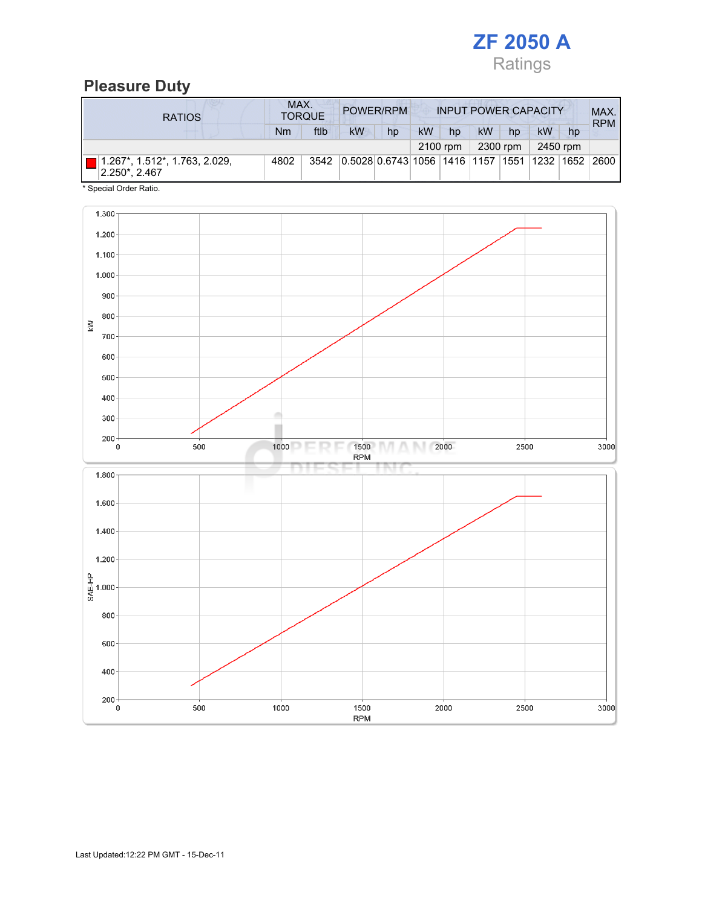

### Pleasure Duty

| <b>RATIOS</b>                                  | MAX.<br>POWER/RPM<br><b>TORQUE</b> |      |                                             |    |    | <b>INPUT POWER CAPACITY</b> |    |          |    |          |            |
|------------------------------------------------|------------------------------------|------|---------------------------------------------|----|----|-----------------------------|----|----------|----|----------|------------|
|                                                | Nm                                 | ftlb | <b>kW</b>                                   | hp | kW | hp                          | kW | hp       | kW | hp       | <b>RPM</b> |
|                                                |                                    |      |                                             |    |    | 2100 rpm                    |    | 2300 rpm |    | 2450 rpm |            |
| 1.267*, 1.512*, 1.763, 2.029,<br>2.250*, 2.467 | 4802                               | 3542 | 0.5028 0.6743 1056 1416 1157 1551 1232 1652 |    |    |                             |    |          |    |          | 2600       |

\* Special Order Ratio.

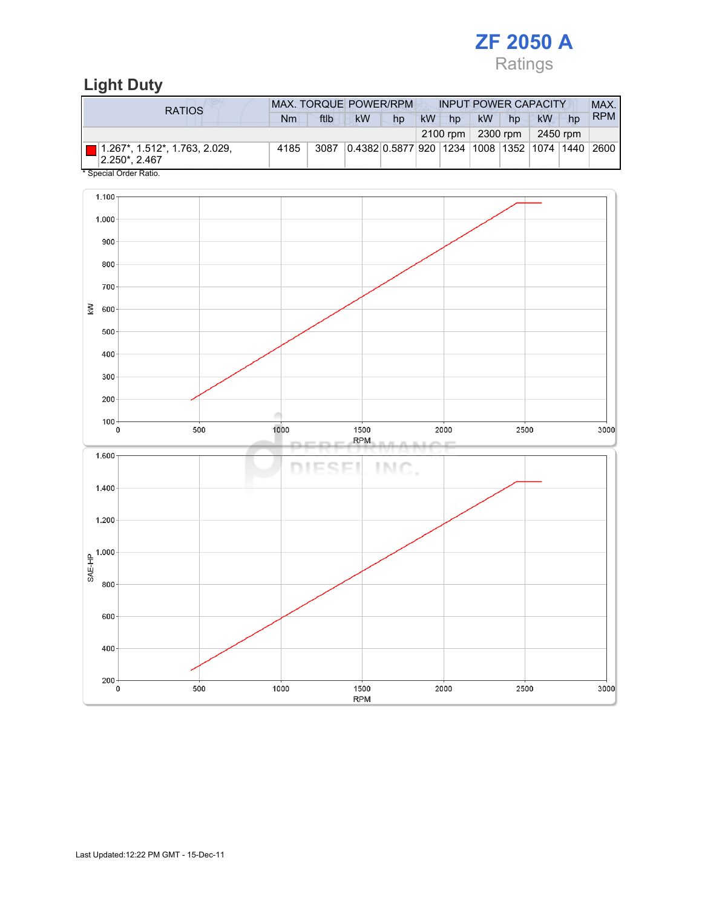# ZF 2050 A Ratings

# Light Duty

| <b>RATIOS</b>                                            | <b>MAX. TORQUE POWER/RPM</b> |      |                                                       |    |    | <b>INPUT POWER CAPACITY</b> |                                  |    |           |    | MAX.       |
|----------------------------------------------------------|------------------------------|------|-------------------------------------------------------|----|----|-----------------------------|----------------------------------|----|-----------|----|------------|
|                                                          | Nm                           | ftlb | <b>kW</b>                                             | hp | kW | hp                          | <b>kW</b>                        | hp | <b>kW</b> | hp | <b>RPM</b> |
|                                                          |                              |      |                                                       |    |    |                             | $2100$ rpm   2300 rpm   2450 rpm |    |           |    |            |
| $\Box$ 1.267*, 1.512*, 1.763, 2.029,<br>$ 2.250^* 2.467$ | 4185                         | 3087 | 0.4382 0.5877 920  1234  1008  1352  1074  1440  2600 |    |    |                             |                                  |    |           |    |            |

Special Order Ratio.

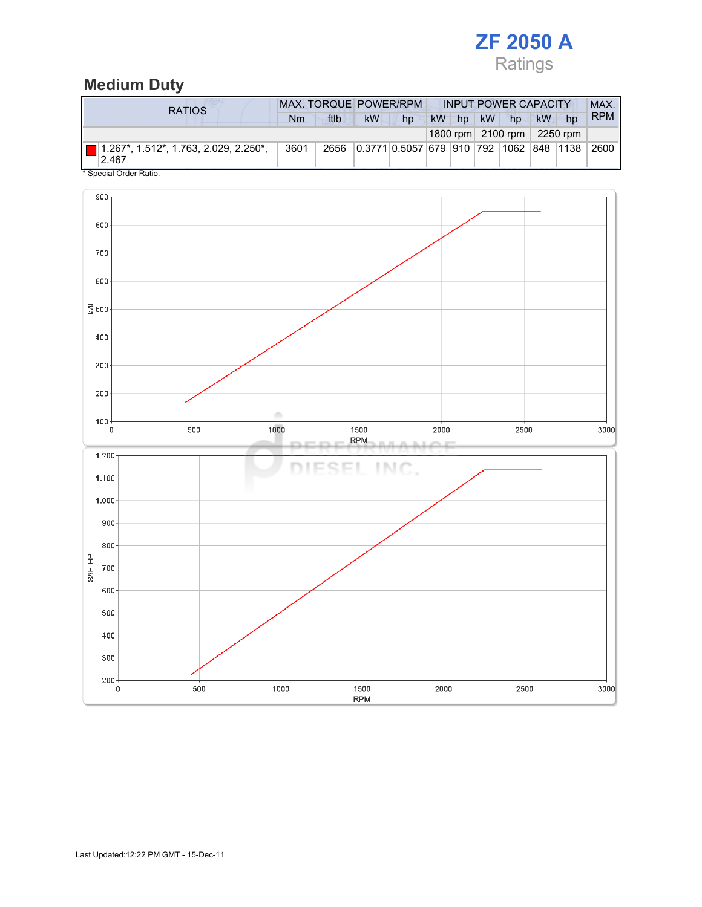

### Medium Duty

| RATIOS                                                | MAX. TORQUE POWER/RPM |      |    |                                         |  | <b>INPUT POWER CAPACITY</b> |          |                            |    |    | MAX.       |
|-------------------------------------------------------|-----------------------|------|----|-----------------------------------------|--|-----------------------------|----------|----------------------------|----|----|------------|
|                                                       | Nm                    | ftlb | kW | hp                                      |  |                             | kW hp kW | hp                         | kW | hp | <b>RPM</b> |
|                                                       |                       |      |    |                                         |  |                             |          | 1800 rpm 2100 rpm 2250 rpm |    |    |            |
| $\Box$ 1.267*, 1.512*, 1.763, 2.029, 2.250*,<br>2.467 | 3601                  | 2656 |    | 0.3771 0.5057 679 910 792 1062 848 1138 |  |                             |          |                            |    |    | 2600       |

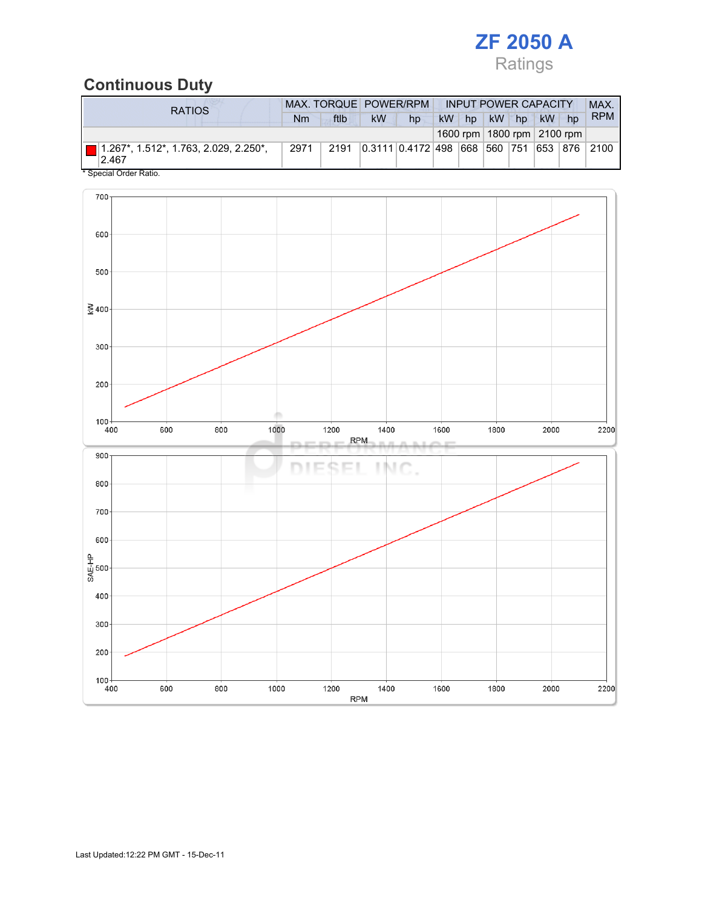

### Continuous Duty

| <b>RATIOS</b>                                                 | MAX. TORQUE POWER/RPM |      |           |                               |    | <b>INPUT POWER CAPACITY</b> |    |    |           |                                | <b>MAX</b> |
|---------------------------------------------------------------|-----------------------|------|-----------|-------------------------------|----|-----------------------------|----|----|-----------|--------------------------------|------------|
|                                                               | Nm                    | ftlb | <b>kW</b> | hp                            | kW | hp                          | kW | hp | <b>kW</b> | hp                             | <b>RPM</b> |
|                                                               |                       |      |           |                               |    |                             |    |    |           | 1600 rpm   1800 rpm   2100 rpm |            |
| $\blacksquare$ 1.267*, 1.512*, 1.763, 2.029, 2.250*.<br>2.467 | 2971                  | 2191 |           | 0.3111 0.4172 498 668 560 751 |    |                             |    |    | 653       |                                | 876 2100   |

Special Order Ratio.

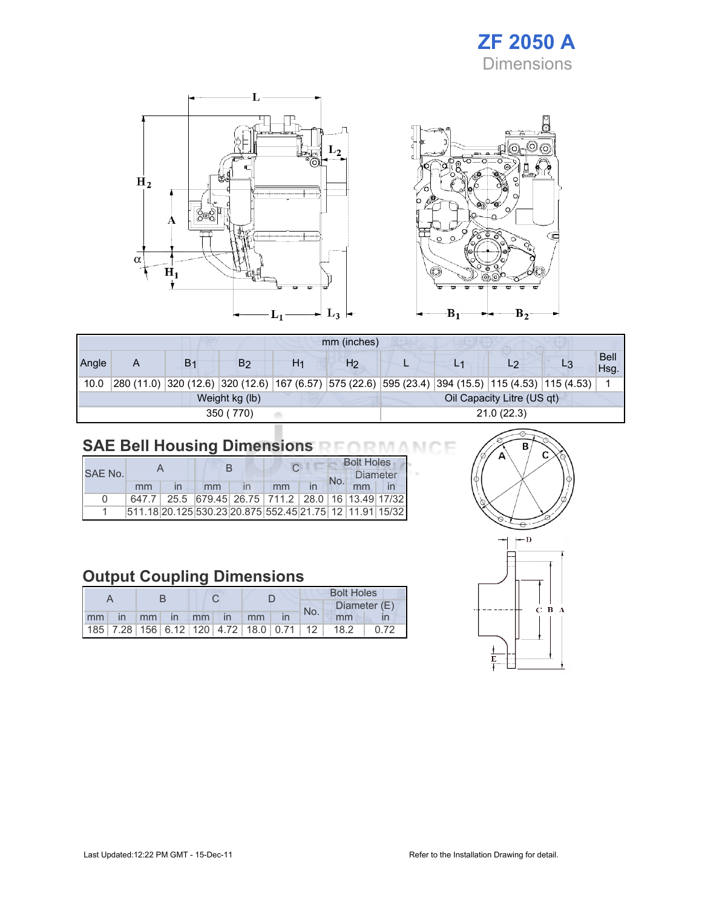# ZF 2050 A **Dimensions**



|       |                                              |                |    |    | mm (inches)    |  |  |                                                                                                            |  |                     |
|-------|----------------------------------------------|----------------|----|----|----------------|--|--|------------------------------------------------------------------------------------------------------------|--|---------------------|
| Angle | Α                                            | B <sub>1</sub> | B2 | H1 | H <sub>2</sub> |  |  | $\overline{\phantom{0}}$                                                                                   |  | <b>Bell</b><br>Hsq. |
| 10.0  |                                              |                |    |    |                |  |  | 280 (11.0)  320 (12.6)  320 (12.6)  167 (6.57)  575 (22.6)  595 (23.4)  394 (15.5)  115 (4.53)  115 (4.53) |  |                     |
|       | Oil Capacity Litre (US qt)<br>Weight kg (lb) |                |    |    |                |  |  |                                                                                                            |  |                     |
|       | 21.0(22.3)<br>350 (770)                      |                |    |    |                |  |  |                                                                                                            |  |                     |

# SAE Bell Housing Dimensions RFORMANCE

|              |       |  |    |  |                                                                 | <b>Bolt Holes</b> |          |  |  |
|--------------|-------|--|----|--|-----------------------------------------------------------------|-------------------|----------|--|--|
| SAF No.      |       |  |    |  |                                                                 |                   | Diameter |  |  |
|              | mm    |  | mm |  | mm                                                              |                   |          |  |  |
| <sup>n</sup> | 647.7 |  |    |  | 25.5 679.45 26.75 711.2 28.0 16 13.49 17/32                     |                   |          |  |  |
|              |       |  |    |  | 511.18 20.125 530.23 20.875  552.45  21.75   12   11.91   15/32 |                   |          |  |  |

# Output Coupling Dimensions

|    |              |    |                |    |              |                                                    |  | <b>Bolt Holes</b> |              |  |  |  |
|----|--------------|----|----------------|----|--------------|----------------------------------------------------|--|-------------------|--------------|--|--|--|
|    |              |    |                |    |              |                                                    |  | No.               | Diameter (E) |  |  |  |
| mm | $\mathsf{I}$ | mm | $\blacksquare$ | mm | $\mathsf{I}$ | mm                                                 |  |                   | mm           |  |  |  |
|    |              |    |                |    |              | 185   7.28   156   6.12   120   4.72   18.0   0.71 |  | 12                | 18.2         |  |  |  |